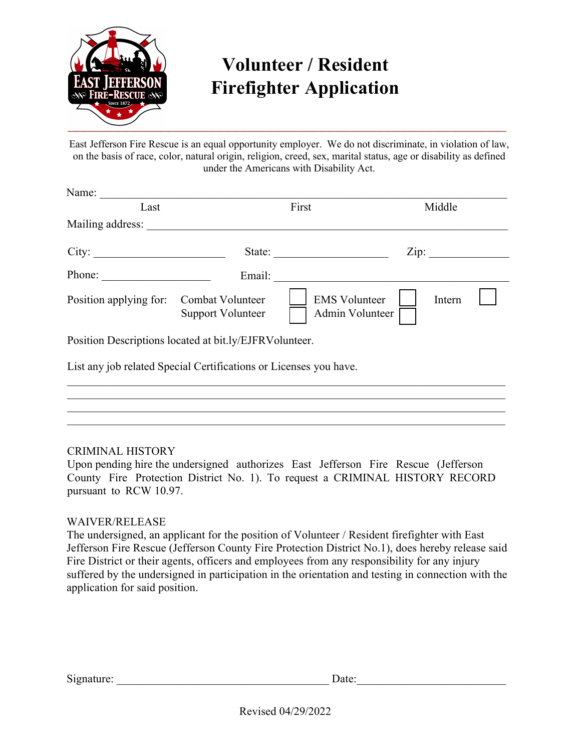

## **Volunteer / Resident Firefighter Application**

East Jefferson Fire Rescue is an equal opportunity employer. We do not discriminate, in violation of law, on the basis of race, color, natural origin, religion, creed, sex, marital status, age or disability as defined under the Americans with Disability Act.

| Name:                                                             |                   |                                         |                           |
|-------------------------------------------------------------------|-------------------|-----------------------------------------|---------------------------|
| Last                                                              |                   | First                                   | Middle                    |
| Mailing address:                                                  |                   |                                         |                           |
| City:                                                             |                   | State:                                  | $\overline{\text{Zip: }}$ |
| Phone:                                                            |                   | Email:                                  |                           |
| Position applying for: Combat Volunteer                           | Support Volunteer | <b>EMS</b> Volunteer<br>Admin Volunteer | Intern                    |
| Position Descriptions located at bit.ly/EJFRVolunteer.            |                   |                                         |                           |
| List any job related Special Certifications or Licenses you have. |                   |                                         |                           |
|                                                                   |                   |                                         |                           |
|                                                                   |                   |                                         |                           |

## CRIMINAL HISTORY

Upon pending hire the undersigned authorizes East Jefferson Fire Rescue (Jefferson County Fire Protection District No. 1). To request a CRIMINAL HISTORY RECORD pursuant to RCW 10.97.

## WAIVER/RELEASE

The undersigned, an applicant for the position of Volunteer / Resident firefighter with East Jefferson Fire Rescue (Jefferson County Fire Protection District No.1), does hereby release said Fire District or their agents, officers and employees from any responsibility for any injury suffered by the undersigned in participation in the orientation and testing in connection with the application for said position.

Signature: \_\_\_\_\_\_\_\_\_\_\_\_\_\_\_\_\_\_\_\_\_\_\_\_\_\_\_\_\_\_\_\_\_\_\_\_\_ Date:\_\_\_\_\_\_\_\_\_\_\_\_\_\_\_\_\_\_\_\_\_\_\_\_\_\_